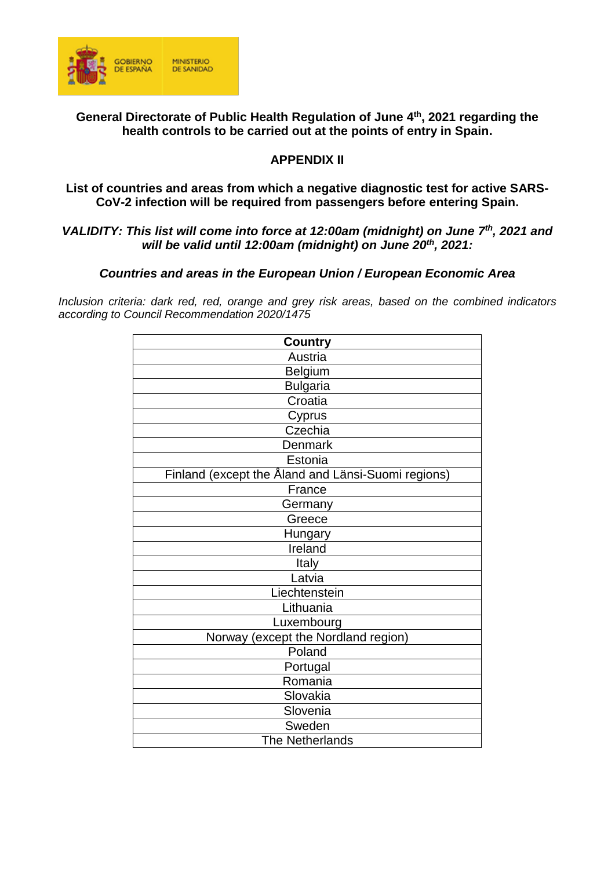

**General Directorate of Public Health Regulation of June 4 th, 2021 regarding the health controls to be carried out at the points of entry in Spain.**

# **APPENDIX II**

#### **List of countries and areas from which a negative diagnostic test for active SARS-CoV-2 infection will be required from passengers before entering Spain.**

### *VALIDITY: This list will come into force at 12:00am (midnight) on June 7 th , 2021 and will be valid until 12:00am (midnight) on June 20th , 2021:*

### *Countries and areas in the European Union / European Economic Area*

*Inclusion criteria: dark red, red, orange and grey risk areas, based on the combined indicators according to Council Recommendation 2020/1475*

| <b>Country</b>                                     |
|----------------------------------------------------|
| Austria                                            |
| <b>Belgium</b>                                     |
| <b>Bulgaria</b>                                    |
| Croatia                                            |
| Cyprus                                             |
| Czechia                                            |
| Denmark                                            |
| Estonia                                            |
| Finland (except the Åland and Länsi-Suomi regions) |
| France                                             |
| Germany                                            |
| Greece                                             |
| Hungary                                            |
| Ireland                                            |
| Italy                                              |
| Latvia                                             |
| Liechtenstein                                      |
| Lithuania                                          |
| Luxembourg                                         |
| Norway (except the Nordland region)                |
| Poland                                             |
| Portugal                                           |
| Romania                                            |
| Slovakia                                           |
| Slovenia                                           |
| Sweden                                             |
| <b>The Netherlands</b>                             |